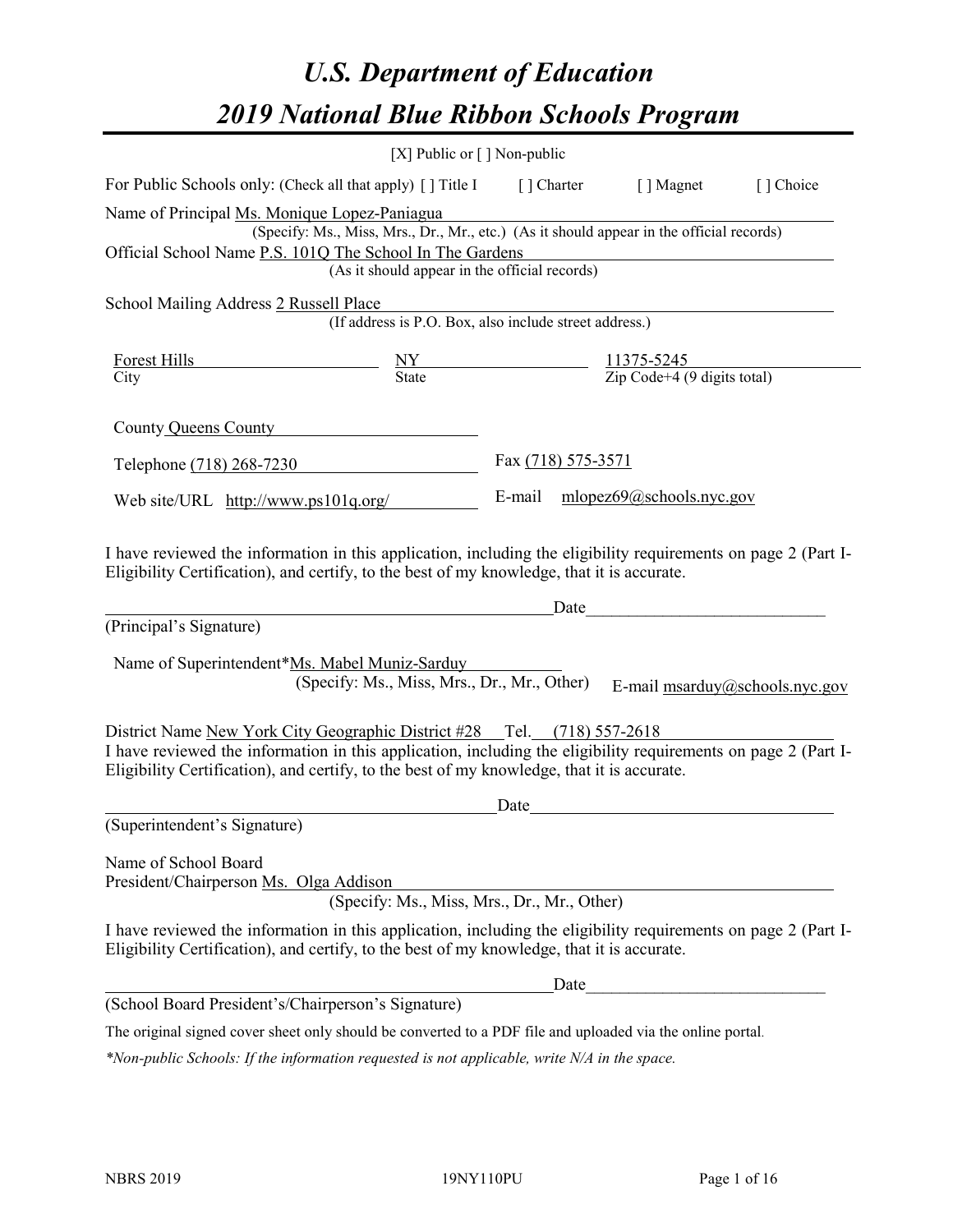# *U.S. Department of Education 2019 National Blue Ribbon Schools Program*

|                                                                                                                                                                                                                                                                                         | [X] Public or [] Non-public                                                                                                                                            |                    |                                                                                                                      |                                |
|-----------------------------------------------------------------------------------------------------------------------------------------------------------------------------------------------------------------------------------------------------------------------------------------|------------------------------------------------------------------------------------------------------------------------------------------------------------------------|--------------------|----------------------------------------------------------------------------------------------------------------------|--------------------------------|
| For Public Schools only: (Check all that apply) [ ] Title I [ ] Charter [ ] Magnet [ ] Choice                                                                                                                                                                                           |                                                                                                                                                                        |                    |                                                                                                                      |                                |
| Name of Principal Ms. Monique Lopez-Paniagua<br>Official School Name P.S. 101Q The School In The Gardens                                                                                                                                                                                | s. Monique Lopez-Paniagua<br>(Specify: Ms., Miss, Mrs., Dr., Mr., etc.) (As it should appear in the official records)<br>(As it should appear in the official records) |                    | <u> 1980 - Johann Barbara, martxa alemaniar amerikan a</u>                                                           |                                |
| School Mailing Address 2 Russell Place                                                                                                                                                                                                                                                  | Ill Place<br>(If address is P.O. Box, also include street address.)                                                                                                    |                    |                                                                                                                      |                                |
| Forest Hills<br>$\frac{NY}{\text{State}}$ $\frac{11375-5245}{\text{Zip Code}+4 (9 \text{ digits total})}$<br>City                                                                                                                                                                       |                                                                                                                                                                        |                    |                                                                                                                      |                                |
| County Queens County                                                                                                                                                                                                                                                                    |                                                                                                                                                                        |                    |                                                                                                                      |                                |
| Telephone (718) 268-7230                                                                                                                                                                                                                                                                |                                                                                                                                                                        | Fax (718) 575-3571 |                                                                                                                      |                                |
| Web site/URL http://www.ps101q.org/                                                                                                                                                                                                                                                     |                                                                                                                                                                        |                    | E-mail mlopez69@schools.nyc.gov                                                                                      |                                |
| I have reviewed the information in this application, including the eligibility requirements on page 2 (Part I-<br>Eligibility Certification), and certify, to the best of my knowledge, that it is accurate.                                                                            |                                                                                                                                                                        |                    |                                                                                                                      |                                |
|                                                                                                                                                                                                                                                                                         |                                                                                                                                                                        |                    |                                                                                                                      |                                |
| (Principal's Signature)                                                                                                                                                                                                                                                                 |                                                                                                                                                                        |                    |                                                                                                                      |                                |
| Name of Superintendent*Ms. Mabel Muniz-Sarduy                                                                                                                                                                                                                                           | (Specify: Ms., Miss, Mrs., Dr., Mr., Other)                                                                                                                            |                    |                                                                                                                      | E-mail msarduy@schools.nyc.gov |
| District Name New York City Geographic District #28 Tel. (718) 557-2618<br>I have reviewed the information in this application, including the eligibility requirements on page 2 (Part I-<br>Eligibility Certification), and certify, to the best of my knowledge, that it is accurate. |                                                                                                                                                                        |                    |                                                                                                                      |                                |
| (Superintendent's Signature)                                                                                                                                                                                                                                                            |                                                                                                                                                                        | Date               | <u> 1980 - Andrea Station Barbara, politik eta provincia eta provincia eta provincia eta provincia eta provincia</u> |                                |
| Name of School Board<br>President/Chairperson Ms. Olga Addison                                                                                                                                                                                                                          |                                                                                                                                                                        |                    |                                                                                                                      |                                |
| I have reviewed the information in this application, including the eligibility requirements on page 2 (Part I-<br>Eligibility Certification), and certify, to the best of my knowledge, that it is accurate.                                                                            | (Specify: Ms., Miss, Mrs., Dr., Mr., Other)                                                                                                                            |                    |                                                                                                                      |                                |
|                                                                                                                                                                                                                                                                                         |                                                                                                                                                                        | Date               |                                                                                                                      |                                |
| (School Board President's/Chairperson's Signature)                                                                                                                                                                                                                                      |                                                                                                                                                                        |                    |                                                                                                                      |                                |

*\*Non-public Schools: If the information requested is not applicable, write N/A in the space.*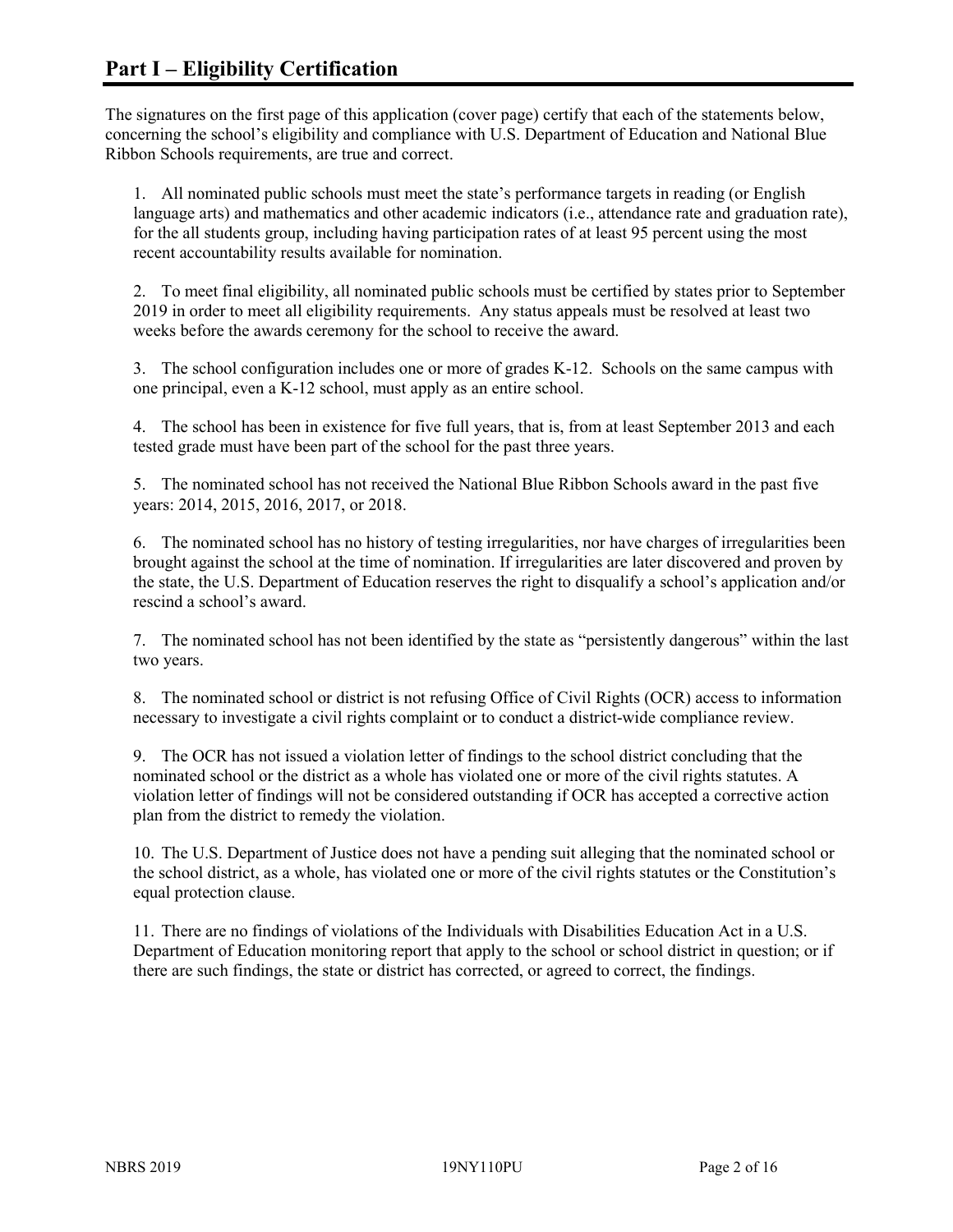The signatures on the first page of this application (cover page) certify that each of the statements below, concerning the school's eligibility and compliance with U.S. Department of Education and National Blue Ribbon Schools requirements, are true and correct.

1. All nominated public schools must meet the state's performance targets in reading (or English language arts) and mathematics and other academic indicators (i.e., attendance rate and graduation rate), for the all students group, including having participation rates of at least 95 percent using the most recent accountability results available for nomination.

2. To meet final eligibility, all nominated public schools must be certified by states prior to September 2019 in order to meet all eligibility requirements. Any status appeals must be resolved at least two weeks before the awards ceremony for the school to receive the award.

3. The school configuration includes one or more of grades K-12. Schools on the same campus with one principal, even a K-12 school, must apply as an entire school.

4. The school has been in existence for five full years, that is, from at least September 2013 and each tested grade must have been part of the school for the past three years.

5. The nominated school has not received the National Blue Ribbon Schools award in the past five years: 2014, 2015, 2016, 2017, or 2018.

6. The nominated school has no history of testing irregularities, nor have charges of irregularities been brought against the school at the time of nomination. If irregularities are later discovered and proven by the state, the U.S. Department of Education reserves the right to disqualify a school's application and/or rescind a school's award.

7. The nominated school has not been identified by the state as "persistently dangerous" within the last two years.

8. The nominated school or district is not refusing Office of Civil Rights (OCR) access to information necessary to investigate a civil rights complaint or to conduct a district-wide compliance review.

9. The OCR has not issued a violation letter of findings to the school district concluding that the nominated school or the district as a whole has violated one or more of the civil rights statutes. A violation letter of findings will not be considered outstanding if OCR has accepted a corrective action plan from the district to remedy the violation.

10. The U.S. Department of Justice does not have a pending suit alleging that the nominated school or the school district, as a whole, has violated one or more of the civil rights statutes or the Constitution's equal protection clause.

11. There are no findings of violations of the Individuals with Disabilities Education Act in a U.S. Department of Education monitoring report that apply to the school or school district in question; or if there are such findings, the state or district has corrected, or agreed to correct, the findings.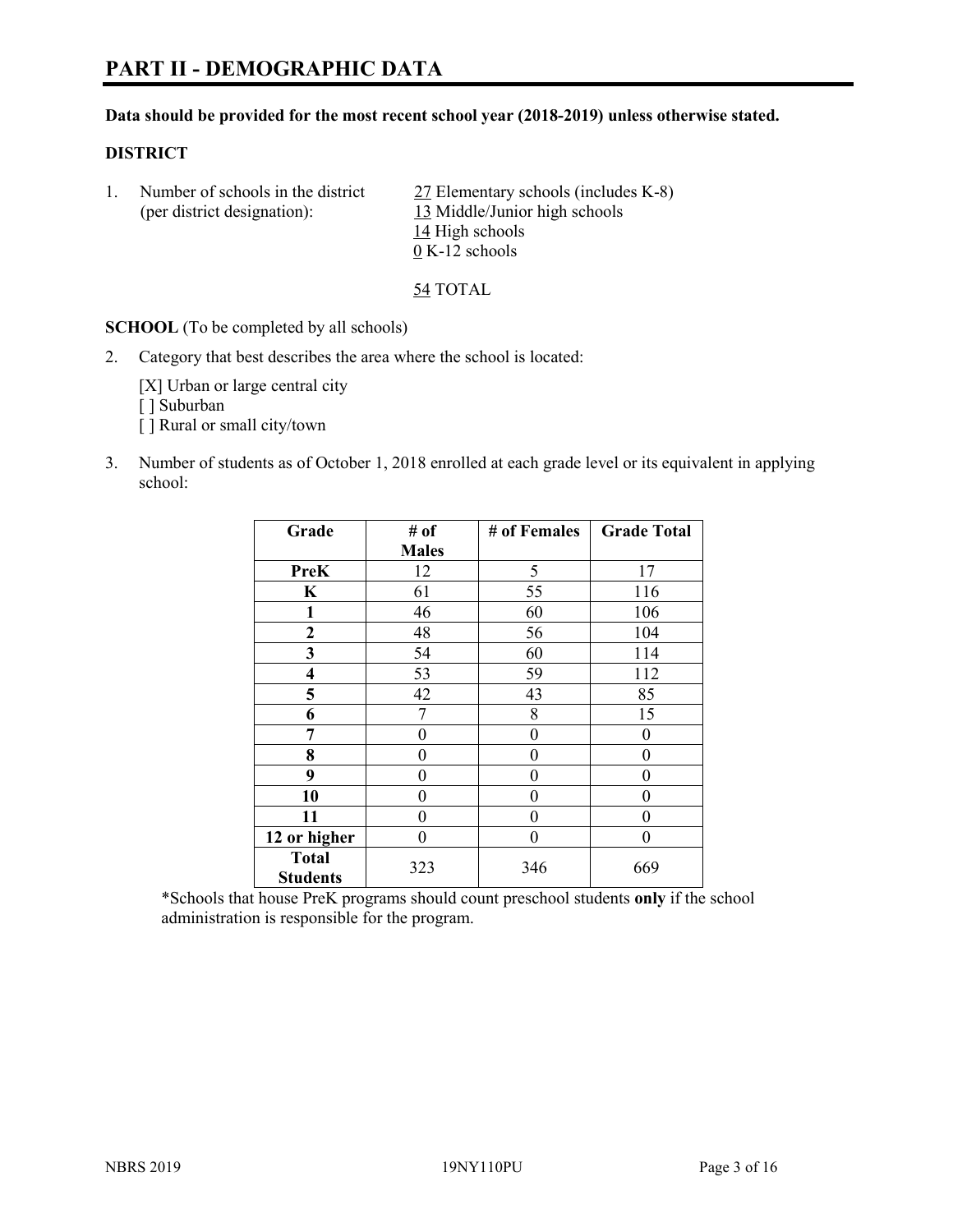# **PART II - DEMOGRAPHIC DATA**

#### **Data should be provided for the most recent school year (2018-2019) unless otherwise stated.**

#### **DISTRICT**

1. Number of schools in the district 27 Elementary schools (includes K-8) (per district designation): 13 Middle/Junior high schools 14 High schools 0 K-12 schools

54 TOTAL

**SCHOOL** (To be completed by all schools)

2. Category that best describes the area where the school is located:

[X] Urban or large central city [] Suburban [] Rural or small city/town

3. Number of students as of October 1, 2018 enrolled at each grade level or its equivalent in applying school:

| Grade                   | # of         | # of Females | <b>Grade Total</b> |
|-------------------------|--------------|--------------|--------------------|
|                         | <b>Males</b> |              |                    |
| <b>PreK</b>             | 12           | 5            | 17                 |
| $\mathbf K$             | 61           | 55           | 116                |
| 1                       | 46           | 60           | 106                |
| 2                       | 48           | 56           | 104                |
| 3                       | 54           | 60           | 114                |
| $\overline{\mathbf{4}}$ | 53           | 59           | 112                |
| 5                       | 42           | 43           | 85                 |
| 6                       | 7            | 8            | 15                 |
| 7                       | 0            | $\theta$     | 0                  |
| 8                       | 0            | 0            | 0                  |
| 9                       | 0            | $\theta$     | 0                  |
| 10                      | 0            | 0            | 0                  |
| 11                      | 0            | $\theta$     | 0                  |
| 12 or higher            | 0            | 0            | 0                  |
| <b>Total</b>            | 323          | 346          | 669                |
| <b>Students</b>         |              |              |                    |

\*Schools that house PreK programs should count preschool students **only** if the school administration is responsible for the program.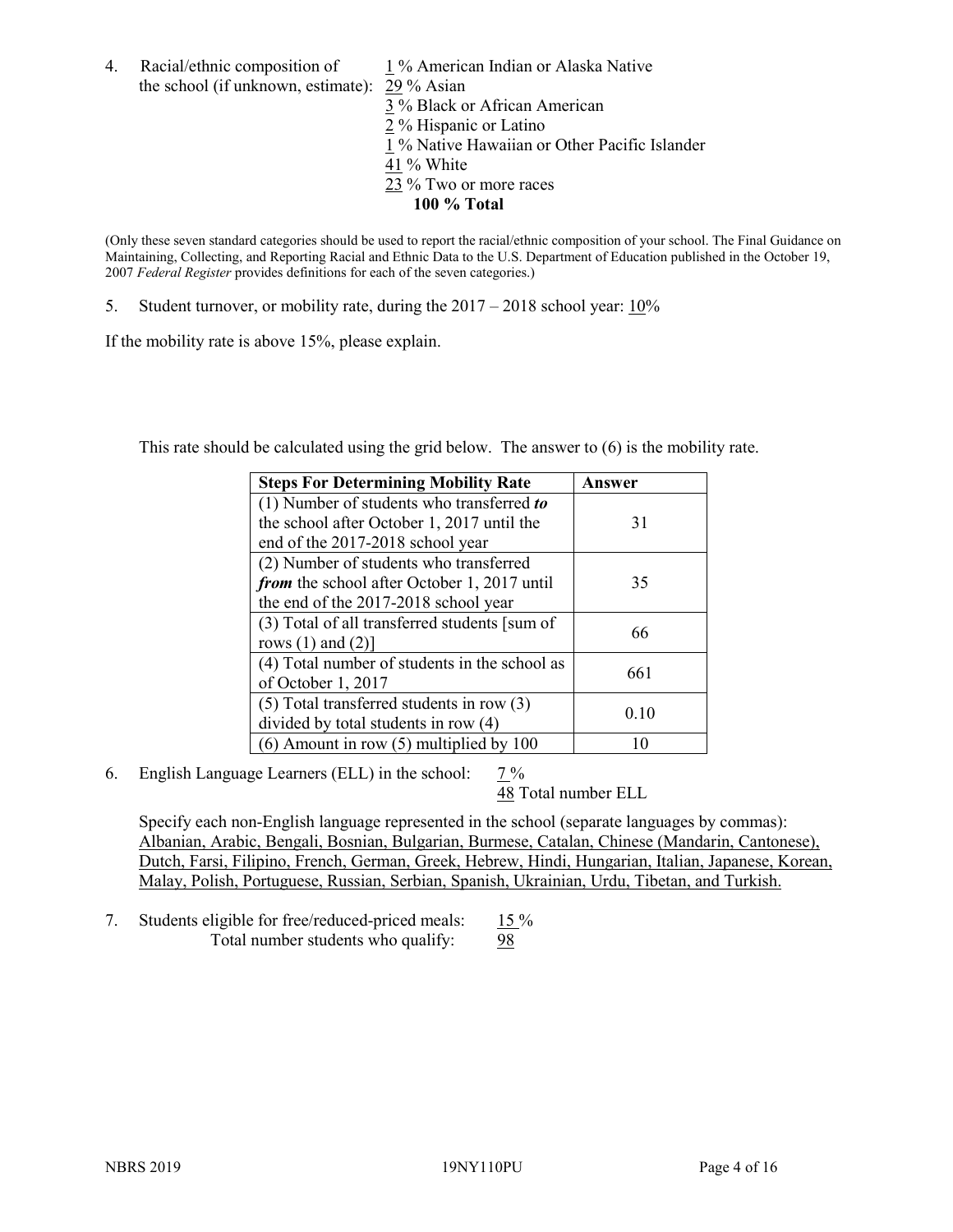4. Racial/ethnic composition of 1 % American Indian or Alaska Native the school (if unknown, estimate): 29 % Asian

3 % Black or African American  $\frac{2}{2}$ % Hispanic or Latino 1 % Native Hawaiian or Other Pacific Islander 41 % White 23 % Two or more races **100 % Total**

(Only these seven standard categories should be used to report the racial/ethnic composition of your school. The Final Guidance on Maintaining, Collecting, and Reporting Racial and Ethnic Data to the U.S. Department of Education published in the October 19, 2007 *Federal Register* provides definitions for each of the seven categories.)

5. Student turnover, or mobility rate, during the 2017 – 2018 school year: 10%

If the mobility rate is above 15%, please explain.

This rate should be calculated using the grid below. The answer to (6) is the mobility rate.

| <b>Steps For Determining Mobility Rate</b>    | Answer |  |
|-----------------------------------------------|--------|--|
| (1) Number of students who transferred to     |        |  |
| the school after October 1, 2017 until the    | 31     |  |
| end of the 2017-2018 school year              |        |  |
| (2) Number of students who transferred        |        |  |
| from the school after October 1, 2017 until   | 35     |  |
| the end of the 2017-2018 school year          |        |  |
| (3) Total of all transferred students [sum of | 66     |  |
| rows $(1)$ and $(2)$ ]                        |        |  |
| (4) Total number of students in the school as | 661    |  |
| of October 1, 2017                            |        |  |
| $(5)$ Total transferred students in row $(3)$ | 0.10   |  |
| divided by total students in row (4)          |        |  |
| $(6)$ Amount in row $(5)$ multiplied by 100   |        |  |

6. English Language Learners (ELL) in the school: 7 %

48 Total number ELL

Specify each non-English language represented in the school (separate languages by commas): Albanian, Arabic, Bengali, Bosnian, Bulgarian, Burmese, Catalan, Chinese (Mandarin, Cantonese), Dutch, Farsi, Filipino, French, German, Greek, Hebrew, Hindi, Hungarian, Italian, Japanese, Korean, Malay, Polish, Portuguese, Russian, Serbian, Spanish, Ukrainian, Urdu, Tibetan, and Turkish.

7. Students eligible for free/reduced-priced meals: 15 % Total number students who qualify: 98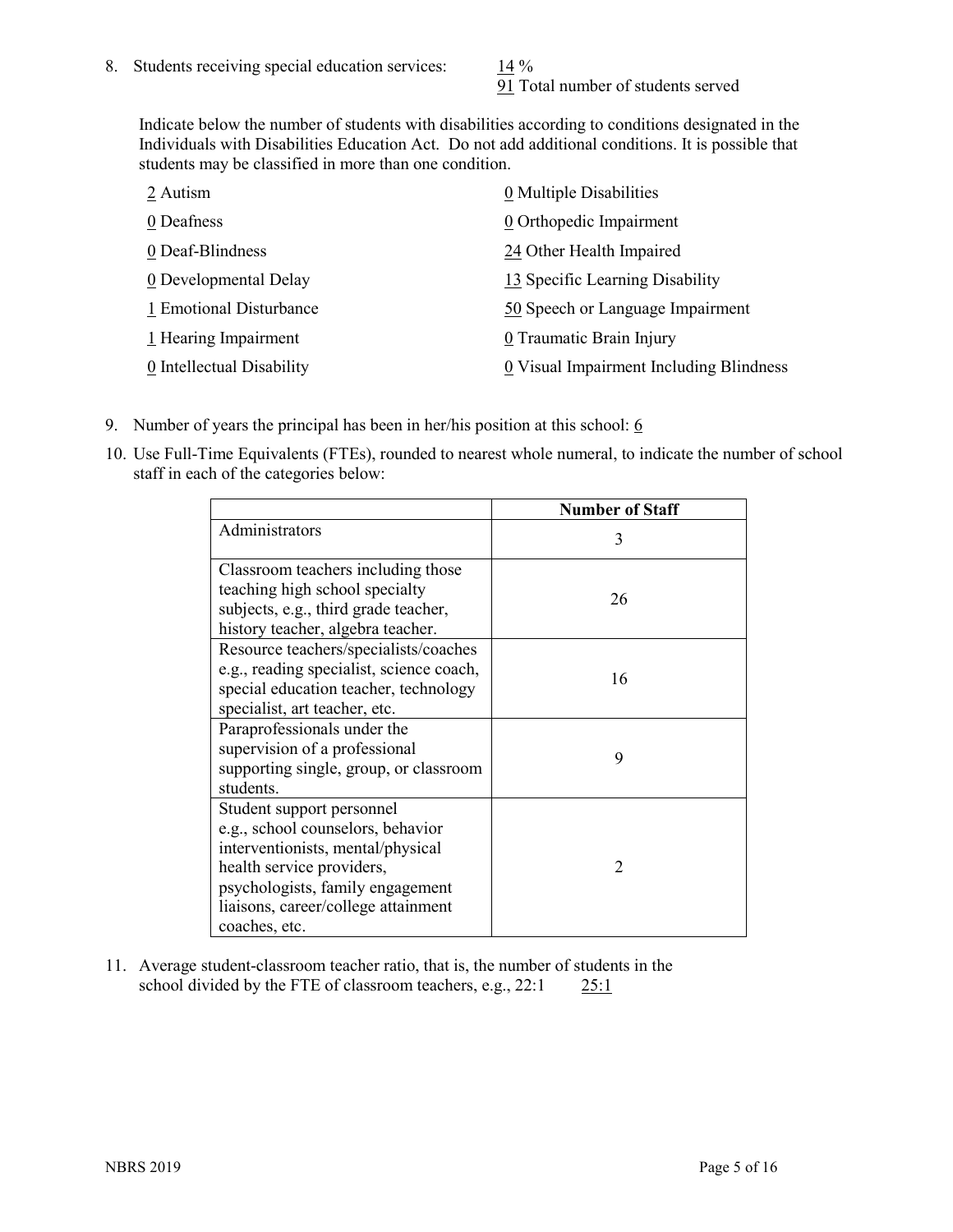91 Total number of students served

Indicate below the number of students with disabilities according to conditions designated in the Individuals with Disabilities Education Act. Do not add additional conditions. It is possible that students may be classified in more than one condition.

| 2 Autism                  | 0 Multiple Disabilities                 |
|---------------------------|-----------------------------------------|
| 0 Deafness                | 0 Orthopedic Impairment                 |
| 0 Deaf-Blindness          | 24 Other Health Impaired                |
| 0 Developmental Delay     | 13 Specific Learning Disability         |
| 1 Emotional Disturbance   | 50 Speech or Language Impairment        |
| 1 Hearing Impairment      | 0 Traumatic Brain Injury                |
| 0 Intellectual Disability | 0 Visual Impairment Including Blindness |

- 9. Number of years the principal has been in her/his position at this school:  $6$
- 10. Use Full-Time Equivalents (FTEs), rounded to nearest whole numeral, to indicate the number of school staff in each of the categories below:

|                                                                                                                                                                                                                              | <b>Number of Staff</b>      |
|------------------------------------------------------------------------------------------------------------------------------------------------------------------------------------------------------------------------------|-----------------------------|
| Administrators                                                                                                                                                                                                               | 3                           |
| Classroom teachers including those<br>teaching high school specialty<br>subjects, e.g., third grade teacher,<br>history teacher, algebra teacher.                                                                            | 26                          |
| Resource teachers/specialists/coaches<br>e.g., reading specialist, science coach,<br>special education teacher, technology<br>specialist, art teacher, etc.                                                                  | 16                          |
| Paraprofessionals under the<br>supervision of a professional<br>supporting single, group, or classroom<br>students.                                                                                                          | 9                           |
| Student support personnel<br>e.g., school counselors, behavior<br>interventionists, mental/physical<br>health service providers,<br>psychologists, family engagement<br>liaisons, career/college attainment<br>coaches, etc. | $\mathcal{D}_{\mathcal{A}}$ |

11. Average student-classroom teacher ratio, that is, the number of students in the school divided by the FTE of classroom teachers, e.g., 22:1 25:1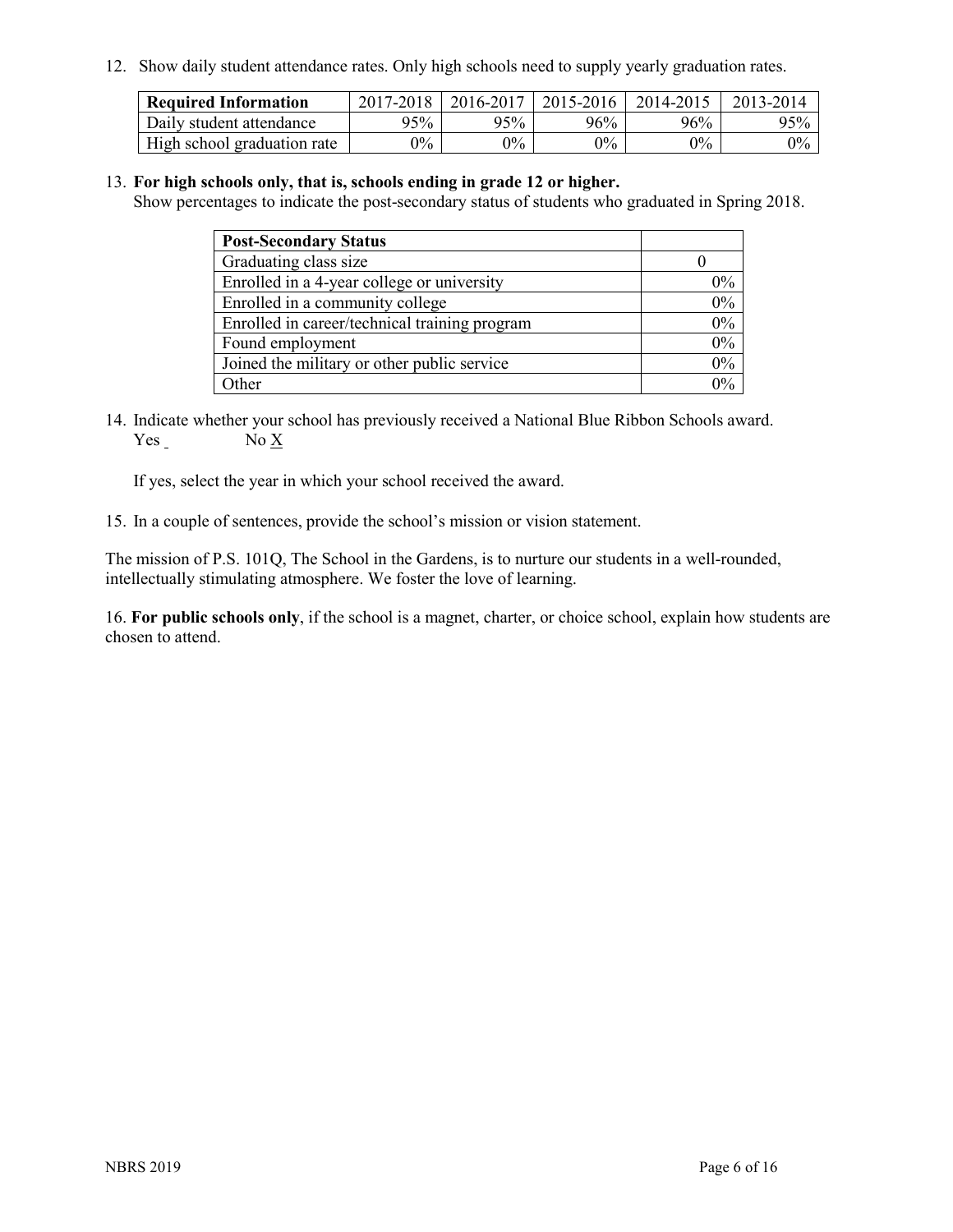12. Show daily student attendance rates. Only high schools need to supply yearly graduation rates.

| <b>Required Information</b> | $2017 - 2018$ | 2016-2017 | 2015-2016 | 2014-2015 | 2013-2014 |
|-----------------------------|---------------|-----------|-----------|-----------|-----------|
| Daily student attendance    | 95%           | 95%       | $96\%$    | 96%       | 95%       |
| High school graduation rate | $0\%$         | $0\%$     | $0\%$     | 0%        | $0\%$     |

#### 13. **For high schools only, that is, schools ending in grade 12 or higher.**

Show percentages to indicate the post-secondary status of students who graduated in Spring 2018.

| <b>Post-Secondary Status</b>                  |       |
|-----------------------------------------------|-------|
| Graduating class size                         |       |
| Enrolled in a 4-year college or university    | $0\%$ |
| Enrolled in a community college               | 0%    |
| Enrolled in career/technical training program | 0%    |
| Found employment                              | 0%    |
| Joined the military or other public service   | 0%    |
| Other                                         | በ‰    |

14. Indicate whether your school has previously received a National Blue Ribbon Schools award. Yes No X

If yes, select the year in which your school received the award.

15. In a couple of sentences, provide the school's mission or vision statement.

The mission of P.S. 101Q, The School in the Gardens, is to nurture our students in a well-rounded, intellectually stimulating atmosphere. We foster the love of learning.

16. **For public schools only**, if the school is a magnet, charter, or choice school, explain how students are chosen to attend.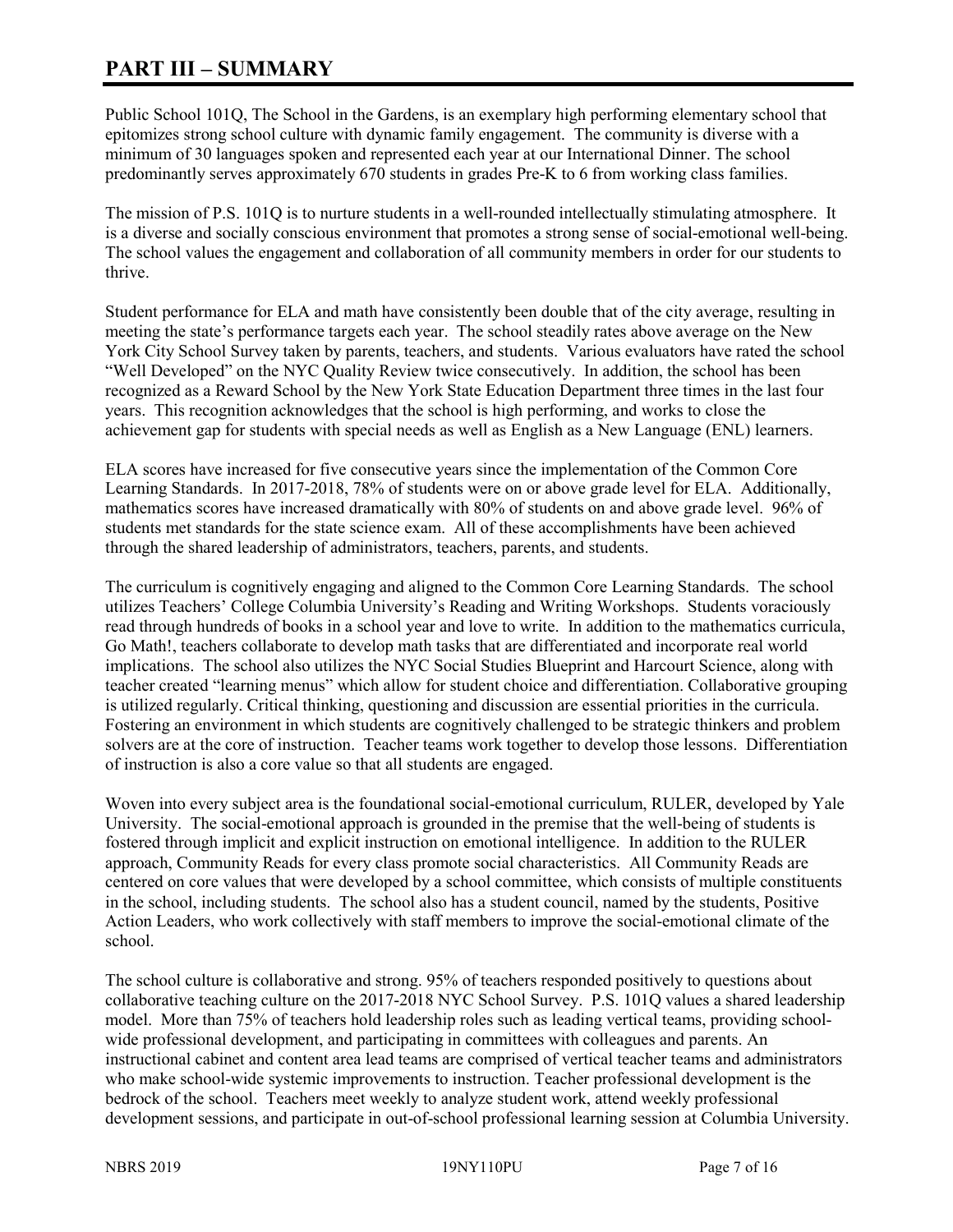# **PART III – SUMMARY**

Public School 101Q, The School in the Gardens, is an exemplary high performing elementary school that epitomizes strong school culture with dynamic family engagement. The community is diverse with a minimum of 30 languages spoken and represented each year at our International Dinner. The school predominantly serves approximately 670 students in grades Pre-K to 6 from working class families.

The mission of P.S. 101Q is to nurture students in a well-rounded intellectually stimulating atmosphere. It is a diverse and socially conscious environment that promotes a strong sense of social-emotional well-being. The school values the engagement and collaboration of all community members in order for our students to thrive.

Student performance for ELA and math have consistently been double that of the city average, resulting in meeting the state's performance targets each year. The school steadily rates above average on the New York City School Survey taken by parents, teachers, and students. Various evaluators have rated the school "Well Developed" on the NYC Quality Review twice consecutively. In addition, the school has been recognized as a Reward School by the New York State Education Department three times in the last four years. This recognition acknowledges that the school is high performing, and works to close the achievement gap for students with special needs as well as English as a New Language (ENL) learners.

ELA scores have increased for five consecutive years since the implementation of the Common Core Learning Standards. In 2017-2018, 78% of students were on or above grade level for ELA. Additionally, mathematics scores have increased dramatically with 80% of students on and above grade level. 96% of students met standards for the state science exam. All of these accomplishments have been achieved through the shared leadership of administrators, teachers, parents, and students.

The curriculum is cognitively engaging and aligned to the Common Core Learning Standards. The school utilizes Teachers' College Columbia University's Reading and Writing Workshops. Students voraciously read through hundreds of books in a school year and love to write. In addition to the mathematics curricula, Go Math!, teachers collaborate to develop math tasks that are differentiated and incorporate real world implications. The school also utilizes the NYC Social Studies Blueprint and Harcourt Science, along with teacher created "learning menus" which allow for student choice and differentiation. Collaborative grouping is utilized regularly. Critical thinking, questioning and discussion are essential priorities in the curricula. Fostering an environment in which students are cognitively challenged to be strategic thinkers and problem solvers are at the core of instruction. Teacher teams work together to develop those lessons. Differentiation of instruction is also a core value so that all students are engaged.

Woven into every subject area is the foundational social-emotional curriculum, RULER, developed by Yale University. The social-emotional approach is grounded in the premise that the well-being of students is fostered through implicit and explicit instruction on emotional intelligence. In addition to the RULER approach, Community Reads for every class promote social characteristics. All Community Reads are centered on core values that were developed by a school committee, which consists of multiple constituents in the school, including students. The school also has a student council, named by the students, Positive Action Leaders, who work collectively with staff members to improve the social-emotional climate of the school.

The school culture is collaborative and strong. 95% of teachers responded positively to questions about collaborative teaching culture on the 2017-2018 NYC School Survey. P.S. 101Q values a shared leadership model. More than 75% of teachers hold leadership roles such as leading vertical teams, providing schoolwide professional development, and participating in committees with colleagues and parents. An instructional cabinet and content area lead teams are comprised of vertical teacher teams and administrators who make school-wide systemic improvements to instruction. Teacher professional development is the bedrock of the school. Teachers meet weekly to analyze student work, attend weekly professional development sessions, and participate in out-of-school professional learning session at Columbia University.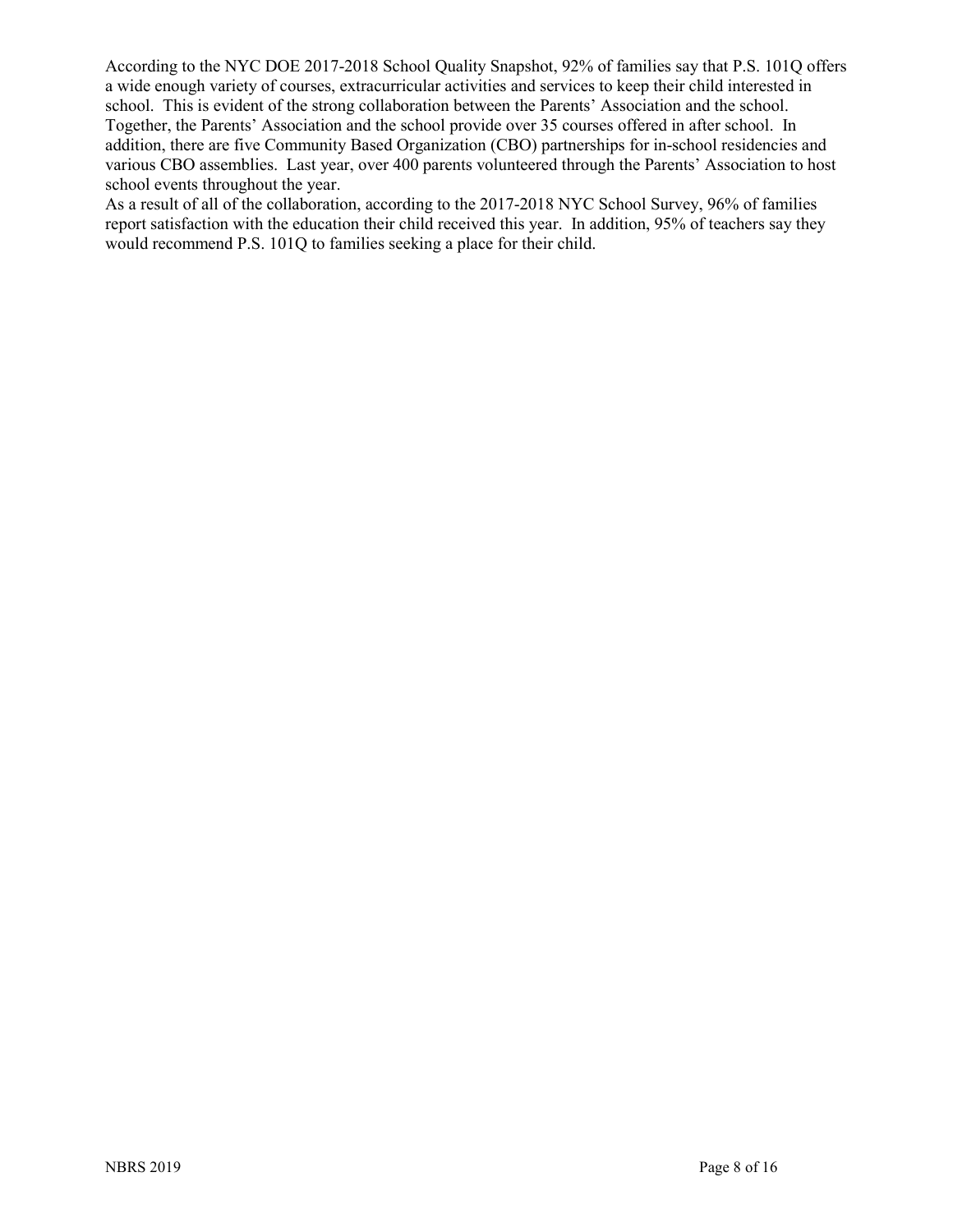According to the NYC DOE 2017-2018 School Quality Snapshot, 92% of families say that P.S. 101Q offers a wide enough variety of courses, extracurricular activities and services to keep their child interested in school. This is evident of the strong collaboration between the Parents' Association and the school. Together, the Parents' Association and the school provide over 35 courses offered in after school. In addition, there are five Community Based Organization (CBO) partnerships for in-school residencies and various CBO assemblies. Last year, over 400 parents volunteered through the Parents' Association to host school events throughout the year.

As a result of all of the collaboration, according to the 2017-2018 NYC School Survey, 96% of families report satisfaction with the education their child received this year. In addition, 95% of teachers say they would recommend P.S. 101Q to families seeking a place for their child.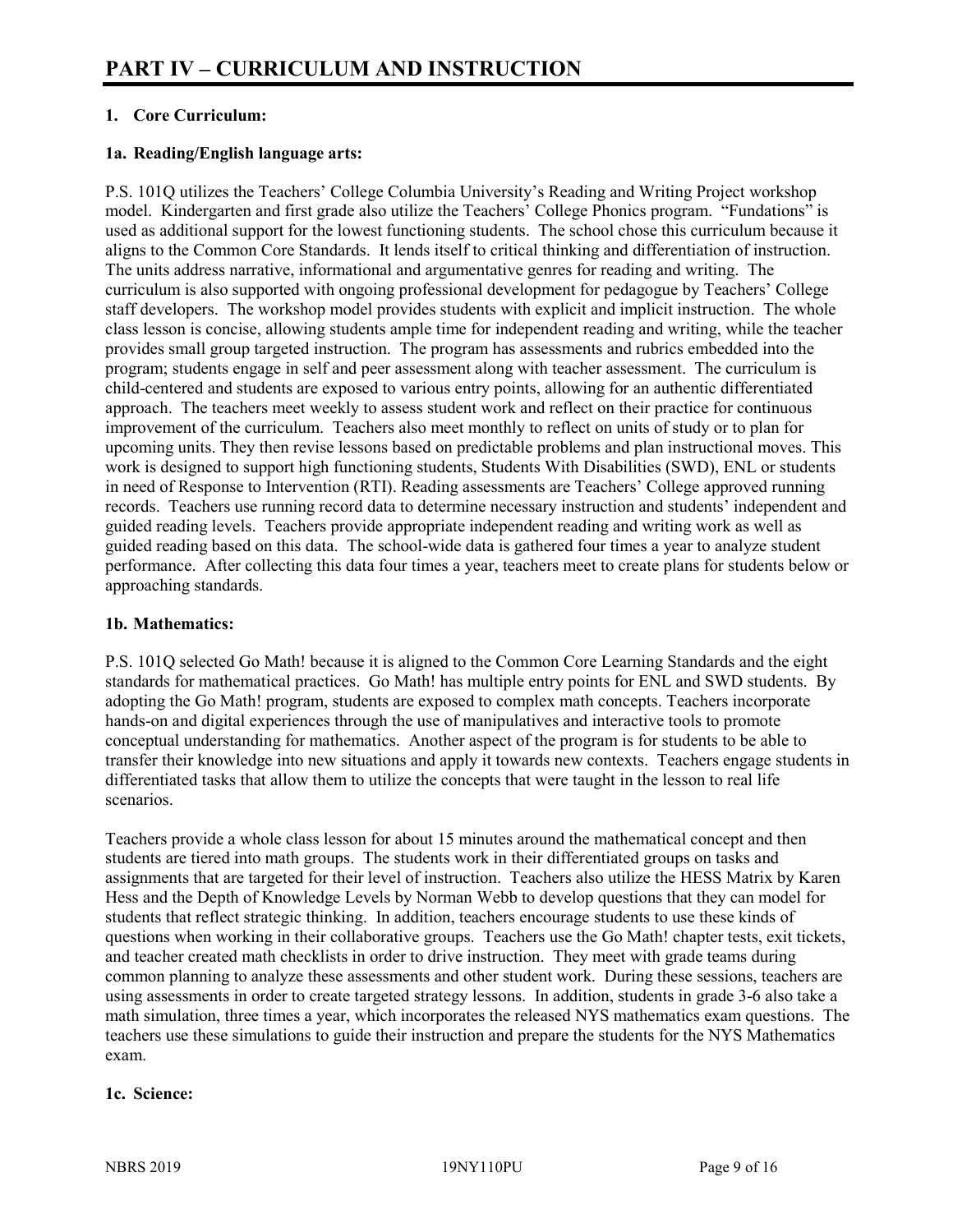# **1. Core Curriculum:**

## **1a. Reading/English language arts:**

P.S. 101Q utilizes the Teachers' College Columbia University's Reading and Writing Project workshop model. Kindergarten and first grade also utilize the Teachers' College Phonics program. "Fundations" is used as additional support for the lowest functioning students. The school chose this curriculum because it aligns to the Common Core Standards. It lends itself to critical thinking and differentiation of instruction. The units address narrative, informational and argumentative genres for reading and writing. The curriculum is also supported with ongoing professional development for pedagogue by Teachers' College staff developers. The workshop model provides students with explicit and implicit instruction. The whole class lesson is concise, allowing students ample time for independent reading and writing, while the teacher provides small group targeted instruction. The program has assessments and rubrics embedded into the program; students engage in self and peer assessment along with teacher assessment. The curriculum is child-centered and students are exposed to various entry points, allowing for an authentic differentiated approach. The teachers meet weekly to assess student work and reflect on their practice for continuous improvement of the curriculum. Teachers also meet monthly to reflect on units of study or to plan for upcoming units. They then revise lessons based on predictable problems and plan instructional moves. This work is designed to support high functioning students, Students With Disabilities (SWD), ENL or students in need of Response to Intervention (RTI). Reading assessments are Teachers' College approved running records. Teachers use running record data to determine necessary instruction and students' independent and guided reading levels. Teachers provide appropriate independent reading and writing work as well as guided reading based on this data. The school-wide data is gathered four times a year to analyze student performance. After collecting this data four times a year, teachers meet to create plans for students below or approaching standards.

#### **1b. Mathematics:**

P.S. 101Q selected Go Math! because it is aligned to the Common Core Learning Standards and the eight standards for mathematical practices. Go Math! has multiple entry points for ENL and SWD students. By adopting the Go Math! program, students are exposed to complex math concepts. Teachers incorporate hands-on and digital experiences through the use of manipulatives and interactive tools to promote conceptual understanding for mathematics. Another aspect of the program is for students to be able to transfer their knowledge into new situations and apply it towards new contexts. Teachers engage students in differentiated tasks that allow them to utilize the concepts that were taught in the lesson to real life scenarios.

Teachers provide a whole class lesson for about 15 minutes around the mathematical concept and then students are tiered into math groups. The students work in their differentiated groups on tasks and assignments that are targeted for their level of instruction. Teachers also utilize the HESS Matrix by Karen Hess and the Depth of Knowledge Levels by Norman Webb to develop questions that they can model for students that reflect strategic thinking. In addition, teachers encourage students to use these kinds of questions when working in their collaborative groups. Teachers use the Go Math! chapter tests, exit tickets, and teacher created math checklists in order to drive instruction. They meet with grade teams during common planning to analyze these assessments and other student work. During these sessions, teachers are using assessments in order to create targeted strategy lessons. In addition, students in grade 3-6 also take a math simulation, three times a year, which incorporates the released NYS mathematics exam questions. The teachers use these simulations to guide their instruction and prepare the students for the NYS Mathematics exam.

#### **1c. Science:**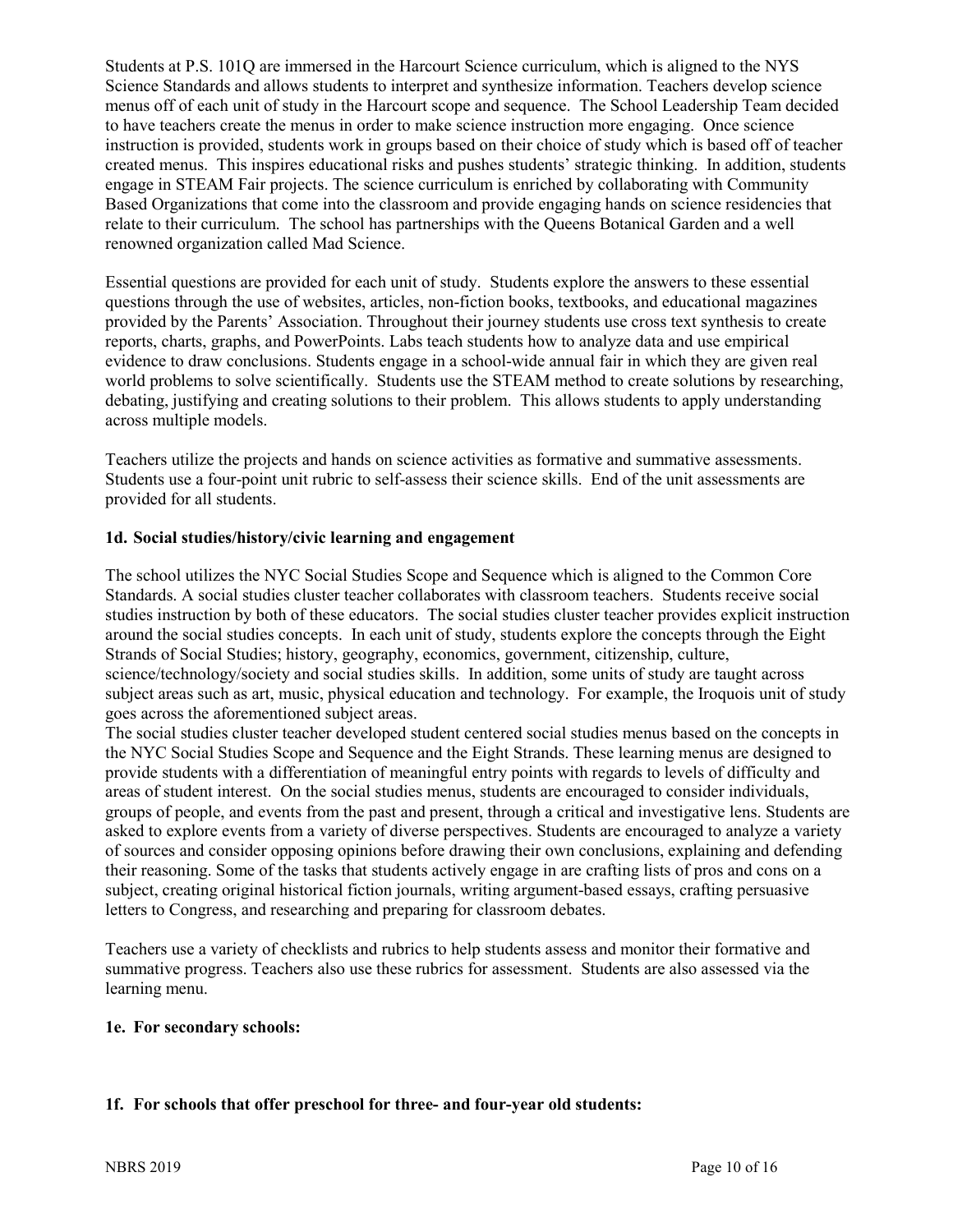Students at P.S. 101Q are immersed in the Harcourt Science curriculum, which is aligned to the NYS Science Standards and allows students to interpret and synthesize information. Teachers develop science menus off of each unit of study in the Harcourt scope and sequence. The School Leadership Team decided to have teachers create the menus in order to make science instruction more engaging. Once science instruction is provided, students work in groups based on their choice of study which is based off of teacher created menus. This inspires educational risks and pushes students' strategic thinking. In addition, students engage in STEAM Fair projects. The science curriculum is enriched by collaborating with Community Based Organizations that come into the classroom and provide engaging hands on science residencies that relate to their curriculum. The school has partnerships with the Queens Botanical Garden and a well renowned organization called Mad Science.

Essential questions are provided for each unit of study. Students explore the answers to these essential questions through the use of websites, articles, non-fiction books, textbooks, and educational magazines provided by the Parents' Association. Throughout their journey students use cross text synthesis to create reports, charts, graphs, and PowerPoints. Labs teach students how to analyze data and use empirical evidence to draw conclusions. Students engage in a school-wide annual fair in which they are given real world problems to solve scientifically. Students use the STEAM method to create solutions by researching, debating, justifying and creating solutions to their problem. This allows students to apply understanding across multiple models.

Teachers utilize the projects and hands on science activities as formative and summative assessments. Students use a four-point unit rubric to self-assess their science skills. End of the unit assessments are provided for all students.

## **1d. Social studies/history/civic learning and engagement**

The school utilizes the NYC Social Studies Scope and Sequence which is aligned to the Common Core Standards. A social studies cluster teacher collaborates with classroom teachers. Students receive social studies instruction by both of these educators. The social studies cluster teacher provides explicit instruction around the social studies concepts. In each unit of study, students explore the concepts through the Eight Strands of Social Studies; history, geography, economics, government, citizenship, culture, science/technology/society and social studies skills. In addition, some units of study are taught across subject areas such as art, music, physical education and technology. For example, the Iroquois unit of study goes across the aforementioned subject areas.

The social studies cluster teacher developed student centered social studies menus based on the concepts in the NYC Social Studies Scope and Sequence and the Eight Strands. These learning menus are designed to provide students with a differentiation of meaningful entry points with regards to levels of difficulty and areas of student interest. On the social studies menus, students are encouraged to consider individuals, groups of people, and events from the past and present, through a critical and investigative lens. Students are asked to explore events from a variety of diverse perspectives. Students are encouraged to analyze a variety of sources and consider opposing opinions before drawing their own conclusions, explaining and defending their reasoning. Some of the tasks that students actively engage in are crafting lists of pros and cons on a subject, creating original historical fiction journals, writing argument-based essays, crafting persuasive letters to Congress, and researching and preparing for classroom debates.

Teachers use a variety of checklists and rubrics to help students assess and monitor their formative and summative progress. Teachers also use these rubrics for assessment. Students are also assessed via the learning menu.

#### **1e. For secondary schools:**

# **1f. For schools that offer preschool for three- and four-year old students:**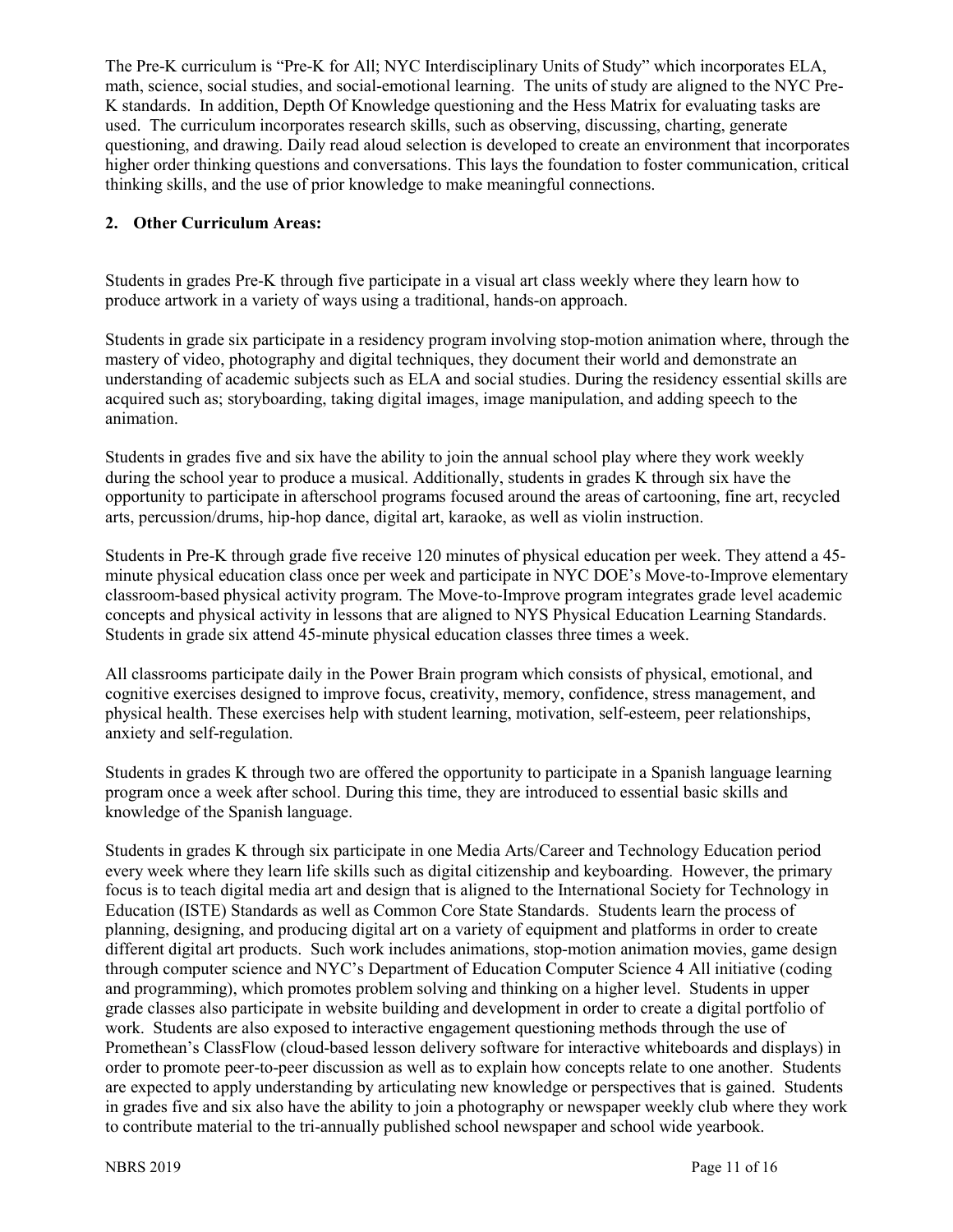The Pre-K curriculum is "Pre-K for All; NYC Interdisciplinary Units of Study" which incorporates ELA, math, science, social studies, and social-emotional learning. The units of study are aligned to the NYC Pre-K standards. In addition, Depth Of Knowledge questioning and the Hess Matrix for evaluating tasks are used. The curriculum incorporates research skills, such as observing, discussing, charting, generate questioning, and drawing. Daily read aloud selection is developed to create an environment that incorporates higher order thinking questions and conversations. This lays the foundation to foster communication, critical thinking skills, and the use of prior knowledge to make meaningful connections.

# **2. Other Curriculum Areas:**

Students in grades Pre-K through five participate in a visual art class weekly where they learn how to produce artwork in a variety of ways using a traditional, hands-on approach.

Students in grade six participate in a residency program involving stop-motion animation where, through the mastery of video, photography and digital techniques, they document their world and demonstrate an understanding of academic subjects such as ELA and social studies. During the residency essential skills are acquired such as; storyboarding, taking digital images, image manipulation, and adding speech to the animation.

Students in grades five and six have the ability to join the annual school play where they work weekly during the school year to produce a musical. Additionally, students in grades K through six have the opportunity to participate in afterschool programs focused around the areas of cartooning, fine art, recycled arts, percussion/drums, hip-hop dance, digital art, karaoke, as well as violin instruction.

Students in Pre-K through grade five receive 120 minutes of physical education per week. They attend a 45 minute physical education class once per week and participate in NYC DOE's Move-to-Improve elementary classroom-based physical activity program. The Move-to-Improve program integrates grade level academic concepts and physical activity in lessons that are aligned to NYS Physical Education Learning Standards. Students in grade six attend 45-minute physical education classes three times a week.

All classrooms participate daily in the Power Brain program which consists of physical, emotional, and cognitive exercises designed to improve focus, creativity, memory, confidence, stress management, and physical health. These exercises help with student learning, motivation, self-esteem, peer relationships, anxiety and self-regulation.

Students in grades K through two are offered the opportunity to participate in a Spanish language learning program once a week after school. During this time, they are introduced to essential basic skills and knowledge of the Spanish language.

Students in grades K through six participate in one Media Arts/Career and Technology Education period every week where they learn life skills such as digital citizenship and keyboarding. However, the primary focus is to teach digital media art and design that is aligned to the International Society for Technology in Education (ISTE) Standards as well as Common Core State Standards. Students learn the process of planning, designing, and producing digital art on a variety of equipment and platforms in order to create different digital art products. Such work includes animations, stop-motion animation movies, game design through computer science and NYC's Department of Education Computer Science 4 All initiative (coding and programming), which promotes problem solving and thinking on a higher level. Students in upper grade classes also participate in website building and development in order to create a digital portfolio of work. Students are also exposed to interactive engagement questioning methods through the use of Promethean's ClassFlow (cloud-based lesson delivery software for interactive whiteboards and displays) in order to promote peer-to-peer discussion as well as to explain how concepts relate to one another. Students are expected to apply understanding by articulating new knowledge or perspectives that is gained. Students in grades five and six also have the ability to join a photography or newspaper weekly club where they work to contribute material to the tri-annually published school newspaper and school wide yearbook.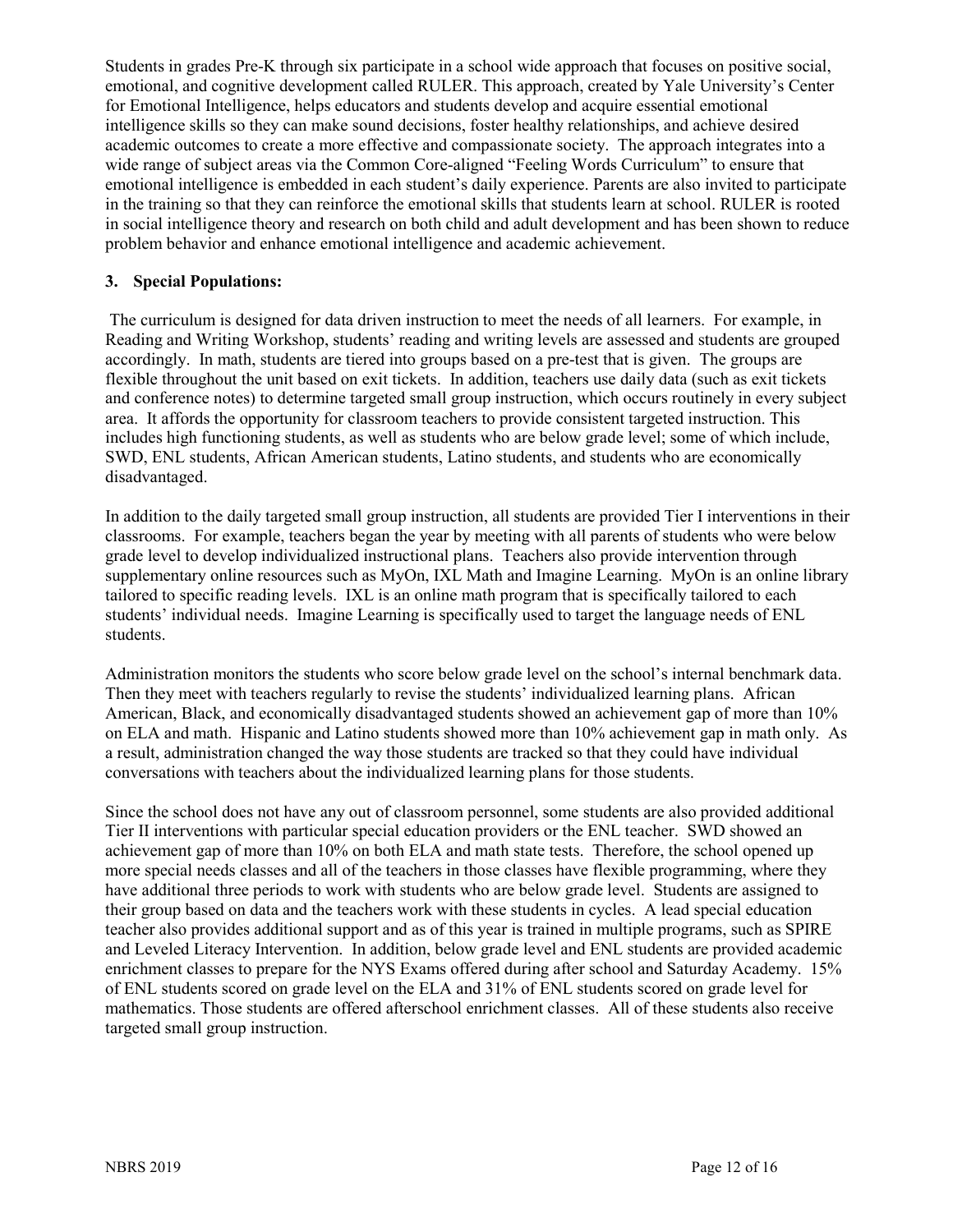Students in grades Pre-K through six participate in a school wide approach that focuses on positive social, emotional, and cognitive development called RULER. This approach, created by Yale University's Center for Emotional Intelligence, helps educators and students develop and acquire essential emotional intelligence skills so they can make sound decisions, foster healthy relationships, and achieve desired academic outcomes to create a more effective and compassionate society. The approach integrates into a wide range of subject areas via the Common Core-aligned "Feeling Words Curriculum" to ensure that emotional intelligence is embedded in each student's daily experience. Parents are also invited to participate in the training so that they can reinforce the emotional skills that students learn at school. RULER is rooted in social intelligence theory and research on both child and adult development and has been shown to reduce problem behavior and enhance emotional intelligence and academic achievement.

# **3. Special Populations:**

The curriculum is designed for data driven instruction to meet the needs of all learners. For example, in Reading and Writing Workshop, students' reading and writing levels are assessed and students are grouped accordingly. In math, students are tiered into groups based on a pre-test that is given. The groups are flexible throughout the unit based on exit tickets. In addition, teachers use daily data (such as exit tickets and conference notes) to determine targeted small group instruction, which occurs routinely in every subject area. It affords the opportunity for classroom teachers to provide consistent targeted instruction. This includes high functioning students, as well as students who are below grade level; some of which include, SWD, ENL students, African American students, Latino students, and students who are economically disadvantaged.

In addition to the daily targeted small group instruction, all students are provided Tier I interventions in their classrooms. For example, teachers began the year by meeting with all parents of students who were below grade level to develop individualized instructional plans. Teachers also provide intervention through supplementary online resources such as MyOn, IXL Math and Imagine Learning. MyOn is an online library tailored to specific reading levels. IXL is an online math program that is specifically tailored to each students' individual needs. Imagine Learning is specifically used to target the language needs of ENL students.

Administration monitors the students who score below grade level on the school's internal benchmark data. Then they meet with teachers regularly to revise the students' individualized learning plans. African American, Black, and economically disadvantaged students showed an achievement gap of more than 10% on ELA and math. Hispanic and Latino students showed more than 10% achievement gap in math only. As a result, administration changed the way those students are tracked so that they could have individual conversations with teachers about the individualized learning plans for those students.

Since the school does not have any out of classroom personnel, some students are also provided additional Tier II interventions with particular special education providers or the ENL teacher. SWD showed an achievement gap of more than 10% on both ELA and math state tests. Therefore, the school opened up more special needs classes and all of the teachers in those classes have flexible programming, where they have additional three periods to work with students who are below grade level. Students are assigned to their group based on data and the teachers work with these students in cycles. A lead special education teacher also provides additional support and as of this year is trained in multiple programs, such as SPIRE and Leveled Literacy Intervention. In addition, below grade level and ENL students are provided academic enrichment classes to prepare for the NYS Exams offered during after school and Saturday Academy. 15% of ENL students scored on grade level on the ELA and 31% of ENL students scored on grade level for mathematics. Those students are offered afterschool enrichment classes. All of these students also receive targeted small group instruction.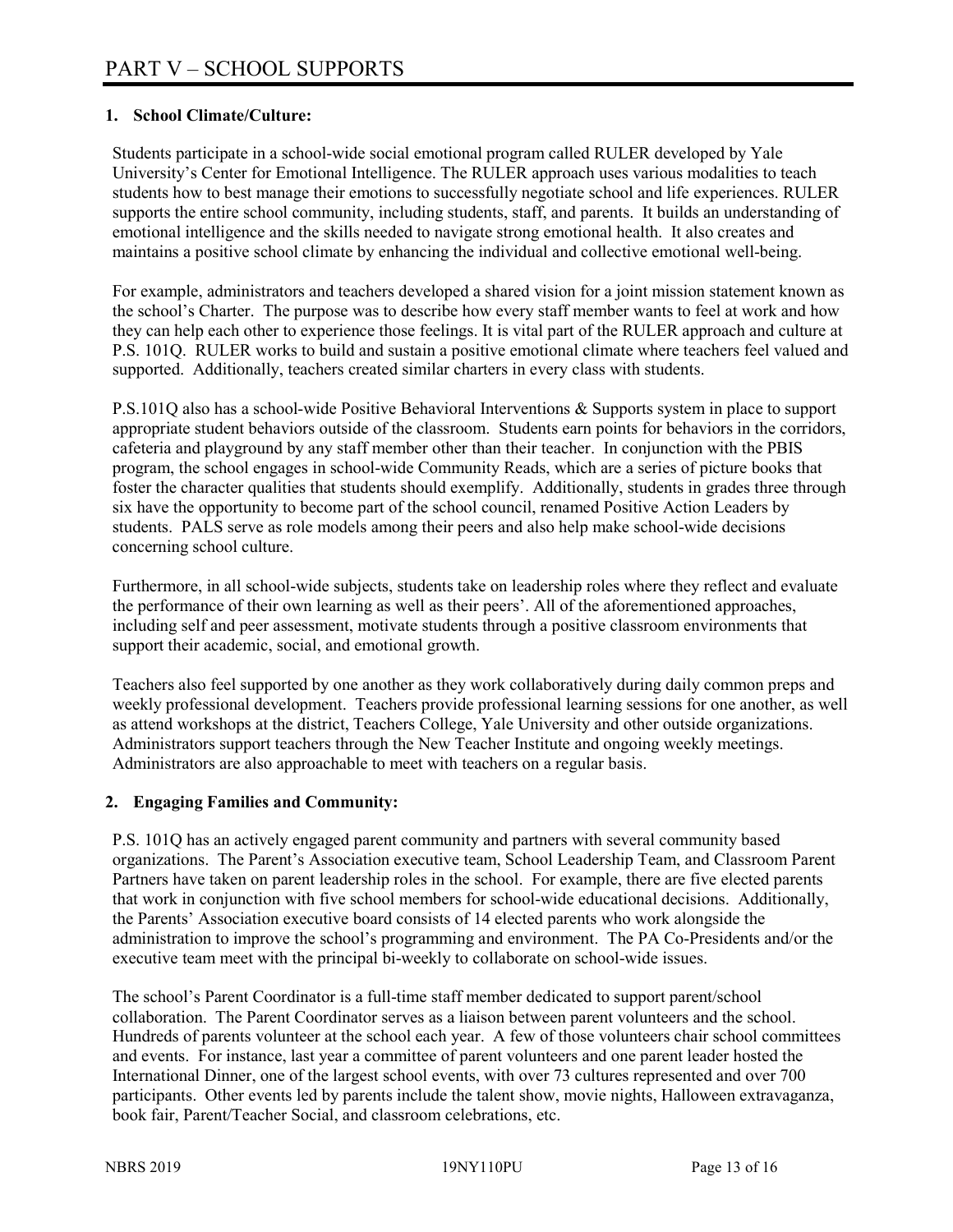# **1. School Climate/Culture:**

Students participate in a school-wide social emotional program called RULER developed by Yale University's Center for Emotional Intelligence. The RULER approach uses various modalities to teach students how to best manage their emotions to successfully negotiate school and life experiences. RULER supports the entire school community, including students, staff, and parents. It builds an understanding of emotional intelligence and the skills needed to navigate strong emotional health. It also creates and maintains a positive school climate by enhancing the individual and collective emotional well-being.

For example, administrators and teachers developed a shared vision for a joint mission statement known as the school's Charter. The purpose was to describe how every staff member wants to feel at work and how they can help each other to experience those feelings. It is vital part of the RULER approach and culture at P.S. 101Q. RULER works to build and sustain a positive emotional climate where teachers feel valued and supported. Additionally, teachers created similar charters in every class with students.

P.S.101Q also has a school-wide Positive Behavioral Interventions & Supports system in place to support appropriate student behaviors outside of the classroom. Students earn points for behaviors in the corridors, cafeteria and playground by any staff member other than their teacher. In conjunction with the PBIS program, the school engages in school-wide Community Reads, which are a series of picture books that foster the character qualities that students should exemplify. Additionally, students in grades three through six have the opportunity to become part of the school council, renamed Positive Action Leaders by students. PALS serve as role models among their peers and also help make school-wide decisions concerning school culture.

Furthermore, in all school-wide subjects, students take on leadership roles where they reflect and evaluate the performance of their own learning as well as their peers'. All of the aforementioned approaches, including self and peer assessment, motivate students through a positive classroom environments that support their academic, social, and emotional growth.

Teachers also feel supported by one another as they work collaboratively during daily common preps and weekly professional development. Teachers provide professional learning sessions for one another, as well as attend workshops at the district, Teachers College, Yale University and other outside organizations. Administrators support teachers through the New Teacher Institute and ongoing weekly meetings. Administrators are also approachable to meet with teachers on a regular basis.

#### **2. Engaging Families and Community:**

P.S. 101Q has an actively engaged parent community and partners with several community based organizations. The Parent's Association executive team, School Leadership Team, and Classroom Parent Partners have taken on parent leadership roles in the school. For example, there are five elected parents that work in conjunction with five school members for school-wide educational decisions. Additionally, the Parents' Association executive board consists of 14 elected parents who work alongside the administration to improve the school's programming and environment. The PA Co-Presidents and/or the executive team meet with the principal bi-weekly to collaborate on school-wide issues.

The school's Parent Coordinator is a full-time staff member dedicated to support parent/school collaboration. The Parent Coordinator serves as a liaison between parent volunteers and the school. Hundreds of parents volunteer at the school each year. A few of those volunteers chair school committees and events. For instance, last year a committee of parent volunteers and one parent leader hosted the International Dinner, one of the largest school events, with over 73 cultures represented and over 700 participants. Other events led by parents include the talent show, movie nights, Halloween extravaganza, book fair, Parent/Teacher Social, and classroom celebrations, etc.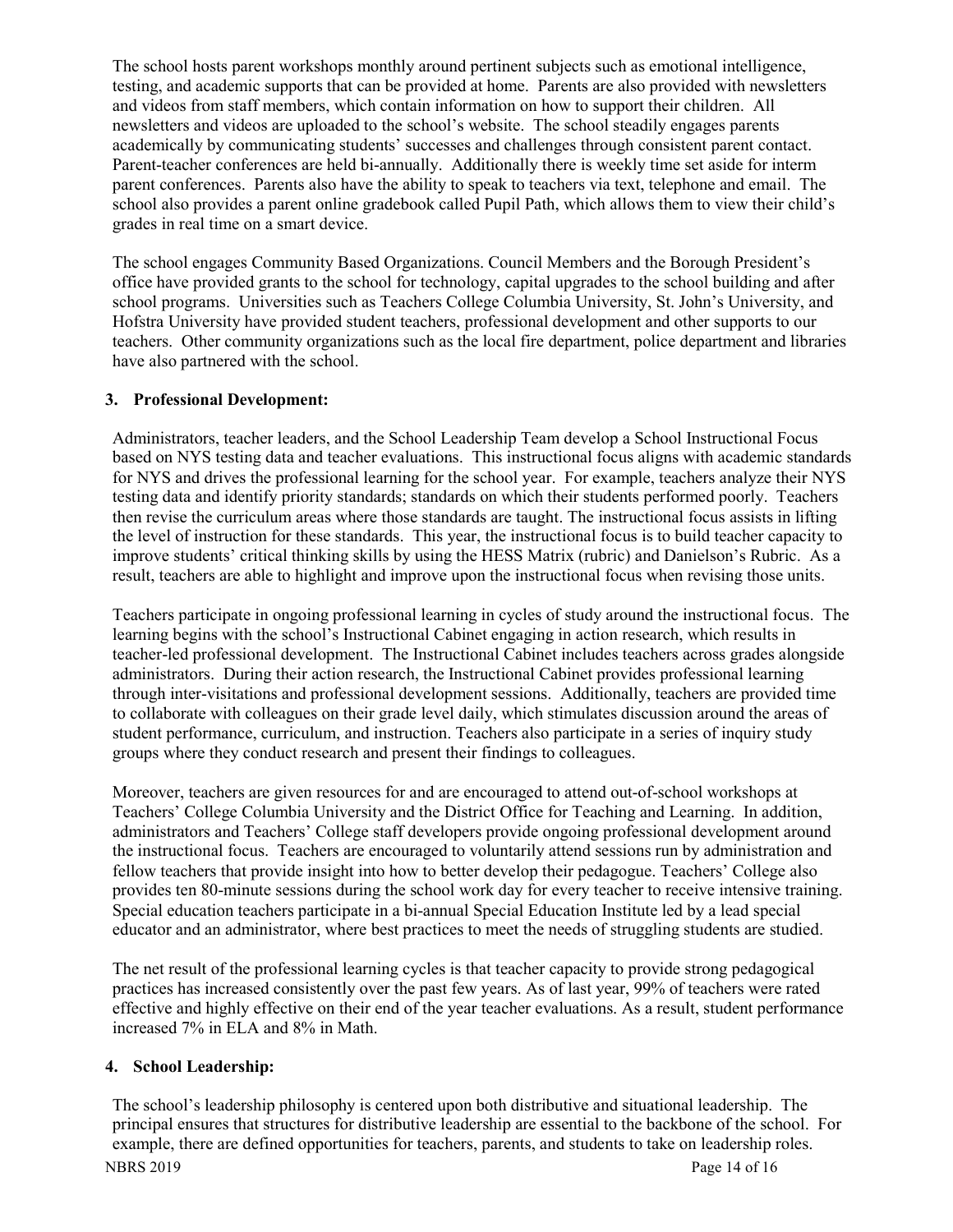The school hosts parent workshops monthly around pertinent subjects such as emotional intelligence, testing, and academic supports that can be provided at home. Parents are also provided with newsletters and videos from staff members, which contain information on how to support their children. All newsletters and videos are uploaded to the school's website. The school steadily engages parents academically by communicating students' successes and challenges through consistent parent contact. Parent-teacher conferences are held bi-annually. Additionally there is weekly time set aside for interm parent conferences. Parents also have the ability to speak to teachers via text, telephone and email. The school also provides a parent online gradebook called Pupil Path, which allows them to view their child's grades in real time on a smart device.

The school engages Community Based Organizations. Council Members and the Borough President's office have provided grants to the school for technology, capital upgrades to the school building and after school programs. Universities such as Teachers College Columbia University, St. John's University, and Hofstra University have provided student teachers, professional development and other supports to our teachers. Other community organizations such as the local fire department, police department and libraries have also partnered with the school.

#### **3. Professional Development:**

Administrators, teacher leaders, and the School Leadership Team develop a School Instructional Focus based on NYS testing data and teacher evaluations. This instructional focus aligns with academic standards for NYS and drives the professional learning for the school year. For example, teachers analyze their NYS testing data and identify priority standards; standards on which their students performed poorly. Teachers then revise the curriculum areas where those standards are taught. The instructional focus assists in lifting the level of instruction for these standards. This year, the instructional focus is to build teacher capacity to improve students' critical thinking skills by using the HESS Matrix (rubric) and Danielson's Rubric. As a result, teachers are able to highlight and improve upon the instructional focus when revising those units.

Teachers participate in ongoing professional learning in cycles of study around the instructional focus. The learning begins with the school's Instructional Cabinet engaging in action research, which results in teacher-led professional development. The Instructional Cabinet includes teachers across grades alongside administrators. During their action research, the Instructional Cabinet provides professional learning through inter-visitations and professional development sessions. Additionally, teachers are provided time to collaborate with colleagues on their grade level daily, which stimulates discussion around the areas of student performance, curriculum, and instruction. Teachers also participate in a series of inquiry study groups where they conduct research and present their findings to colleagues.

Moreover, teachers are given resources for and are encouraged to attend out-of-school workshops at Teachers' College Columbia University and the District Office for Teaching and Learning. In addition, administrators and Teachers' College staff developers provide ongoing professional development around the instructional focus. Teachers are encouraged to voluntarily attend sessions run by administration and fellow teachers that provide insight into how to better develop their pedagogue. Teachers' College also provides ten 80-minute sessions during the school work day for every teacher to receive intensive training. Special education teachers participate in a bi-annual Special Education Institute led by a lead special educator and an administrator, where best practices to meet the needs of struggling students are studied.

The net result of the professional learning cycles is that teacher capacity to provide strong pedagogical practices has increased consistently over the past few years. As of last year, 99% of teachers were rated effective and highly effective on their end of the year teacher evaluations. As a result, student performance increased 7% in ELA and 8% in Math.

# **4. School Leadership:**

NBRS 2019 Page 14 of 16 The school's leadership philosophy is centered upon both distributive and situational leadership. The principal ensures that structures for distributive leadership are essential to the backbone of the school. For example, there are defined opportunities for teachers, parents, and students to take on leadership roles.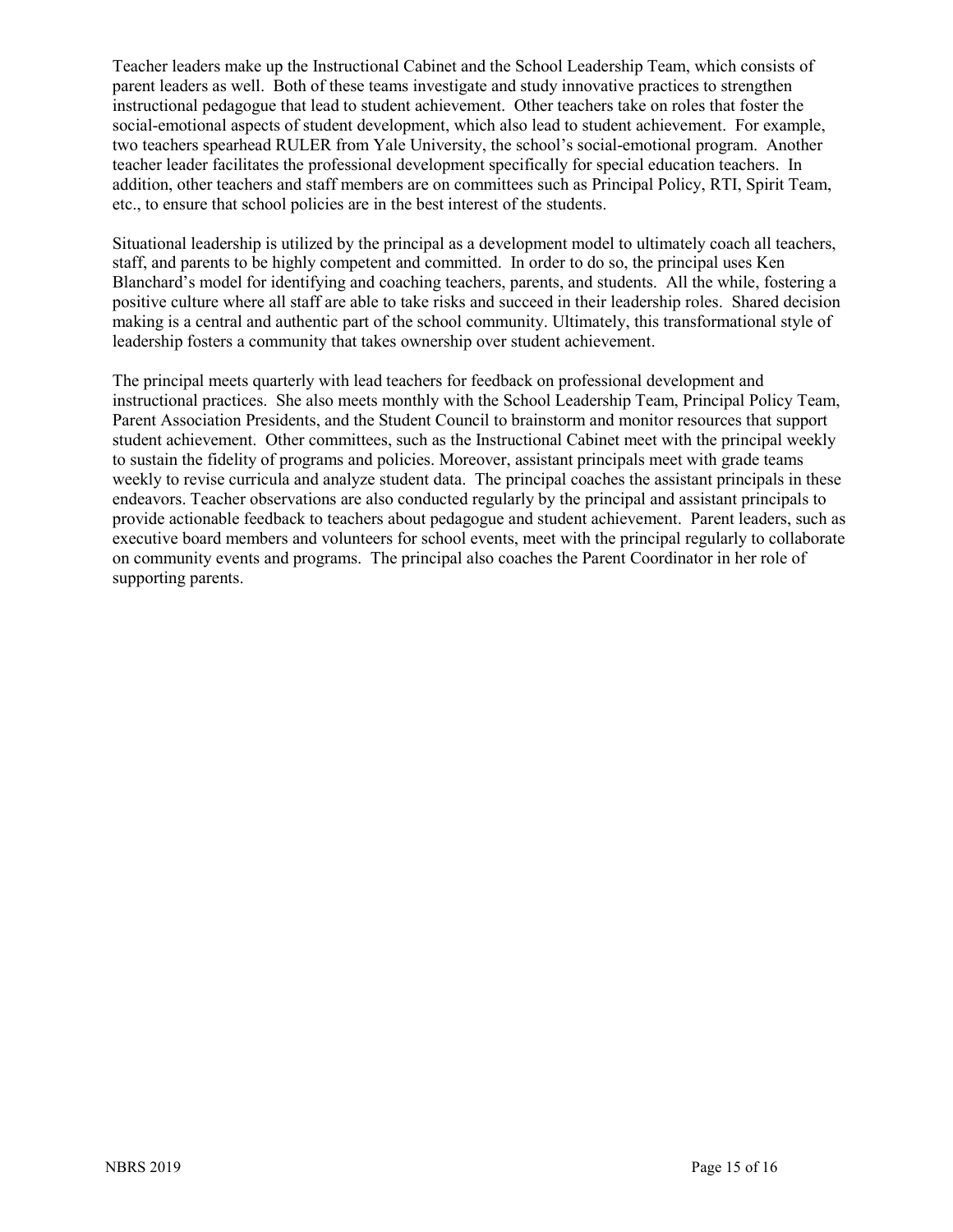Teacher leaders make up the Instructional Cabinet and the School Leadership Team, which consists of parent leaders as well. Both of these teams investigate and study innovative practices to strengthen instructional pedagogue that lead to student achievement. Other teachers take on roles that foster the social-emotional aspects of student development, which also lead to student achievement. For example, two teachers spearhead RULER from Yale University, the school's social-emotional program. Another teacher leader facilitates the professional development specifically for special education teachers. In addition, other teachers and staff members are on committees such as Principal Policy, RTI, Spirit Team, etc., to ensure that school policies are in the best interest of the students.

Situational leadership is utilized by the principal as a development model to ultimately coach all teachers, staff, and parents to be highly competent and committed. In order to do so, the principal uses Ken Blanchard's model for identifying and coaching teachers, parents, and students. All the while, fostering a positive culture where all staff are able to take risks and succeed in their leadership roles. Shared decision making is a central and authentic part of the school community. Ultimately, this transformational style of leadership fosters a community that takes ownership over student achievement.

The principal meets quarterly with lead teachers for feedback on professional development and instructional practices. She also meets monthly with the School Leadership Team, Principal Policy Team, Parent Association Presidents, and the Student Council to brainstorm and monitor resources that support student achievement. Other committees, such as the Instructional Cabinet meet with the principal weekly to sustain the fidelity of programs and policies. Moreover, assistant principals meet with grade teams weekly to revise curricula and analyze student data. The principal coaches the assistant principals in these endeavors. Teacher observations are also conducted regularly by the principal and assistant principals to provide actionable feedback to teachers about pedagogue and student achievement. Parent leaders, such as executive board members and volunteers for school events, meet with the principal regularly to collaborate on community events and programs. The principal also coaches the Parent Coordinator in her role of supporting parents.